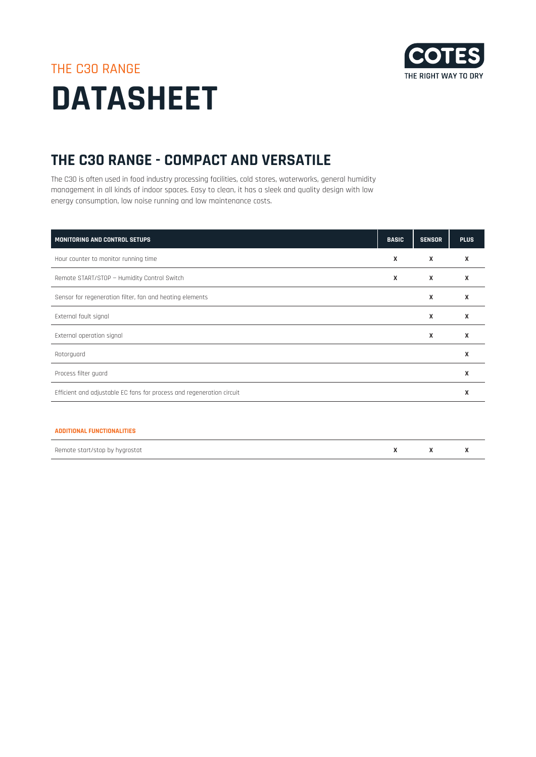

# THE C30 RANGE **DATASHEET**

## **THE C30 RANGE - COMPACT AND VERSATILE**

The C30 is often used in food industry processing facilities, cold stores, waterworks, general humidity management in all kinds of indoor spaces. Easy to clean, it has a sleek and quality design with low energy consumption, low noise running and low maintenance costs.

| MONITORING AND CONTROL SETUPS                                         | <b>BASIC</b>              | <b>SENSOR</b> | <b>PLUS</b> |
|-----------------------------------------------------------------------|---------------------------|---------------|-------------|
| Hour counter to monitor running time                                  | $\mathsf{x}$              | X             | X           |
| Remote START/STOP - Humidity Control Switch                           | $\boldsymbol{\mathsf{x}}$ | X             | X           |
| Sensor for regeneration filter, fan and heating elements              |                           | X             | X           |
| External fault signal                                                 |                           | X             | X           |
| External operation signal                                             |                           | X             | X           |
| Rotorguard                                                            |                           |               | X           |
| Process filter guard                                                  |                           |               | X           |
| Efficient and adjustable EC fans for process and regeneration circuit |                           |               | X           |
|                                                                       |                           |               |             |
| <b>ADDITIONAL FUNCTIONALITIES</b>                                     |                           |               |             |

| Remote start/stop by hygrostat |  |  |
|--------------------------------|--|--|
|                                |  |  |